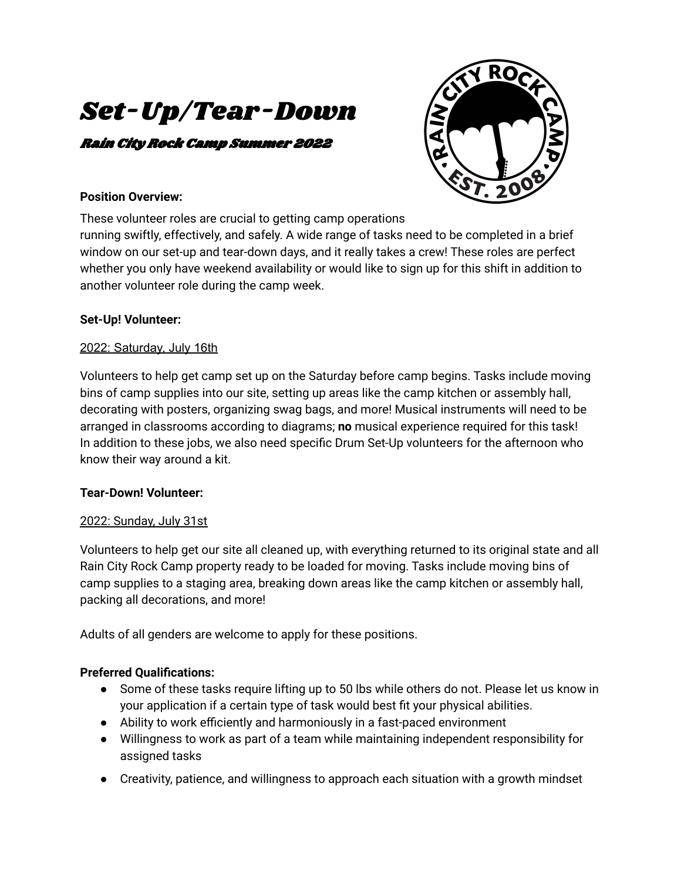# Set-Up/Tear-Down

# Rain City Rock Camp Summer 2022



#### **Position Overview:**

These volunteer roles are crucial to getting camp operations

running swiftly, effectively, and safely. A wide range of tasks need to be completed in a brief window on our set-up and tear-down days, and it really takes a crew! These roles are perfect whether you only have weekend availability or would like to sign up for this shift in addition to another volunteer role during the camp week.

## **Set-Up! Volunteer:**

## 2022: Saturday, July 16th

Volunteers to help get camp set up on the Saturday before camp begins. Tasks include moving bins of camp supplies into our site, setting up areas like the camp kitchen or assembly hall, decorating with posters, organizing swag bags, and more! Musical instruments will need to be arranged in classrooms according to diagrams; **no** musical experience required for this task! In addition to these jobs, we also need specific Drum Set-Up volunteers for the afternoon who know their way around a kit.

## **Tear-Down! Volunteer:**

## 2022: Sunday, July 31st

Volunteers to help get our site all cleaned up, with everything returned to its original state and all Rain City Rock Camp property ready to be loaded for moving. Tasks include moving bins of camp supplies to a staging area, breaking down areas like the camp kitchen or assembly hall, packing all decorations, and more!

Adults of all genders are welcome to apply for these positions.

# **Preferred Qualifications:**

- Some of these tasks require lifting up to 50 lbs while others do not. Please let us know in your application if a certain type of task would best fit your physical abilities.
- Ability to work efficiently and harmoniously in a fast-paced environment
- Willingness to work as part of a team while maintaining independent responsibility for assigned tasks
- Creativity, patience, and willingness to approach each situation with a growth mindset